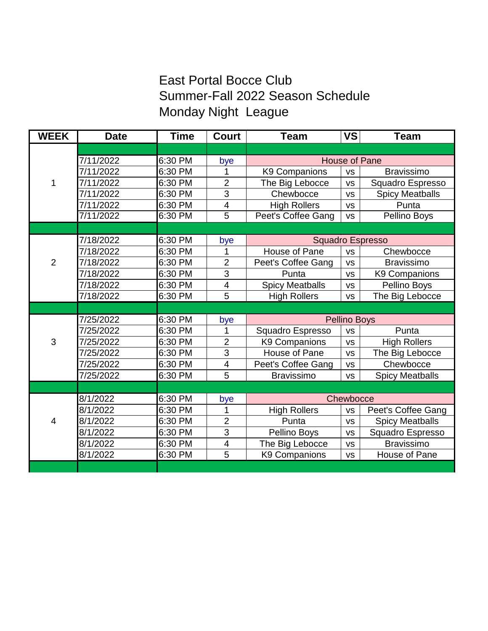## East Portal Bocce Club Summer-Fall 2022 Season Schedule Monday Night League

| <b>WEEK</b>    | <b>Date</b> | <b>Time</b> | <b>Court</b>             | <b>Team</b>             | <b>VS</b> | <b>Team</b>            |
|----------------|-------------|-------------|--------------------------|-------------------------|-----------|------------------------|
|                |             |             |                          |                         |           |                        |
| 1              | 7/11/2022   | 6:30 PM     | bye                      | <b>House of Pane</b>    |           |                        |
|                | 7/11/2022   | 6:30 PM     | 1                        | K9 Companions           | <b>VS</b> | <b>Bravissimo</b>      |
|                | 7/11/2022   | 6:30 PM     | $\overline{2}$           | The Big Lebocce         | <b>VS</b> | Squadro Espresso       |
|                | 7/11/2022   | 6:30 PM     | 3                        | Chewbocce               | <b>VS</b> | <b>Spicy Meatballs</b> |
|                | 7/11/2022   | 6:30 PM     | $\overline{\mathbf{4}}$  | <b>High Rollers</b>     | <b>VS</b> | Punta                  |
|                | 7/11/2022   | 6:30 PM     | $\overline{5}$           | Peet's Coffee Gang      | <b>VS</b> | Pellino Boys           |
|                |             |             |                          |                         |           |                        |
| $\overline{2}$ | 7/18/2022   | 6:30 PM     | bye                      | <b>Squadro Espresso</b> |           |                        |
|                | 7/18/2022   | 6:30 PM     | 1                        | House of Pane           | <b>VS</b> | Chewbocce              |
|                | 7/18/2022   | 6:30 PM     | $\overline{2}$           | Peet's Coffee Gang      | <b>VS</b> | <b>Bravissimo</b>      |
|                | 7/18/2022   | 6:30 PM     | 3                        | Punta                   | <b>VS</b> | K9 Companions          |
|                | 7/18/2022   | 6:30 PM     | $\overline{\mathcal{A}}$ | <b>Spicy Meatballs</b>  | <b>VS</b> | Pellino Boys           |
|                | 7/18/2022   | 6:30 PM     | 5                        | <b>High Rollers</b>     | <b>VS</b> | The Big Lebocce        |
|                |             |             |                          |                         |           |                        |
|                | 7/25/2022   | 6:30 PM     | bye                      | <b>Pellino Boys</b>     |           |                        |
|                | 7/25/2022   | 6:30 PM     | 1                        | Squadro Espresso        | <b>VS</b> | Punta                  |
| 3              | 7/25/2022   | 6:30 PM     | $\overline{2}$           | <b>K9 Companions</b>    | <b>VS</b> | <b>High Rollers</b>    |
|                | 7/25/2022   | 6:30 PM     | 3                        | House of Pane           | <b>VS</b> | The Big Lebocce        |
|                | 7/25/2022   | 6:30 PM     | $\overline{\mathbf{4}}$  | Peet's Coffee Gang      | <b>VS</b> | Chewbocce              |
|                | 7/25/2022   | 6:30 PM     | $\overline{5}$           | <b>Bravissimo</b>       | <b>VS</b> | <b>Spicy Meatballs</b> |
|                |             |             |                          |                         |           |                        |
|                | 8/1/2022    | 6:30 PM     | bye                      | Chewbocce               |           |                        |
| $\overline{4}$ | 8/1/2022    | 6:30 PM     | 1                        | <b>High Rollers</b>     | <b>VS</b> | Peet's Coffee Gang     |
|                | 8/1/2022    | 6:30 PM     | $\overline{2}$           | Punta                   | <b>VS</b> | <b>Spicy Meatballs</b> |
|                | 8/1/2022    | 6:30 PM     | 3                        | Pellino Boys            | <b>VS</b> | Squadro Espresso       |
|                | 8/1/2022    | 6:30 PM     | $\overline{\mathbf{4}}$  | The Big Lebocce         | <b>VS</b> | <b>Bravissimo</b>      |
|                | 8/1/2022    | 6:30 PM     | 5                        | K9 Companions           | <b>VS</b> | House of Pane          |
|                |             |             |                          |                         |           |                        |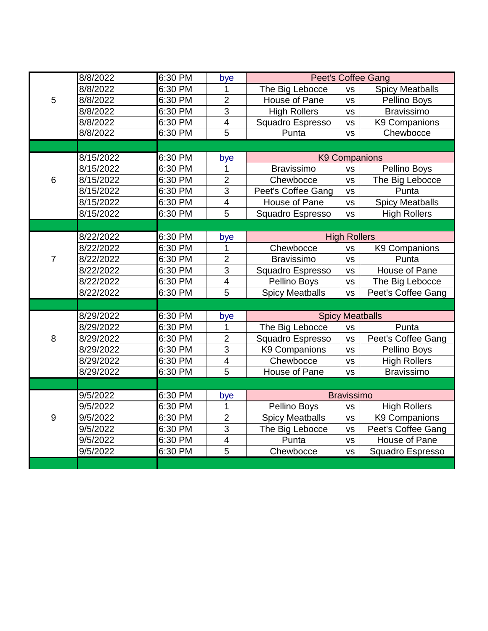|                | 8/8/2022  | 6:30 PM | $by \underline{e}$      | <b>Peet's Coffee Gang</b> |                     |                        |  |
|----------------|-----------|---------|-------------------------|---------------------------|---------------------|------------------------|--|
| 5              | 8/8/2022  | 6:30 PM | 1                       | The Big Lebocce           | <b>VS</b>           | <b>Spicy Meatballs</b> |  |
|                | 8/8/2022  | 6:30 PM | $\overline{2}$          | House of Pane             | <b>VS</b>           | Pellino Boys           |  |
|                | 8/8/2022  | 6:30 PM | 3                       | <b>High Rollers</b>       | <b>VS</b>           | <b>Bravissimo</b>      |  |
|                | 8/8/2022  | 6:30 PM | $\overline{\mathbf{4}}$ | Squadro Espresso          | <b>VS</b>           | K9 Companions          |  |
|                | 8/8/2022  | 6:30 PM | $\overline{5}$          | Punta                     | <b>VS</b>           | Chewbocce              |  |
|                |           |         |                         |                           |                     |                        |  |
| 6              | 8/15/2022 | 6:30 PM | bye                     | <b>K9 Companions</b>      |                     |                        |  |
|                | 8/15/2022 | 6:30 PM | 1                       | <b>Bravissimo</b>         | <b>VS</b>           | Pellino Boys           |  |
|                | 8/15/2022 | 6:30 PM | $\overline{2}$          | Chewbocce                 | <b>VS</b>           | The Big Lebocce        |  |
|                | 8/15/2022 | 6:30 PM | 3                       | Peet's Coffee Gang        | <b>VS</b>           | Punta                  |  |
|                | 8/15/2022 | 6:30 PM | $\overline{\mathbf{4}}$ | House of Pane             | <b>VS</b>           | <b>Spicy Meatballs</b> |  |
|                | 8/15/2022 | 6:30 PM | 5                       | Squadro Espresso          | <b>VS</b>           | <b>High Rollers</b>    |  |
|                |           |         |                         |                           |                     |                        |  |
| $\overline{7}$ | 8/22/2022 | 6:30 PM | bye                     |                           | <b>High Rollers</b> |                        |  |
|                | 8/22/2022 | 6:30 PM | 1                       | Chewbocce                 | <b>VS</b>           | K9 Companions          |  |
|                | 8/22/2022 | 6:30 PM | $\overline{2}$          | <b>Bravissimo</b>         | <b>VS</b>           | Punta                  |  |
|                | 8/22/2022 | 6:30 PM | 3                       | Squadro Espresso          | <b>VS</b>           | House of Pane          |  |
|                | 8/22/2022 | 6:30 PM | $\overline{4}$          | Pellino Boys              | <b>VS</b>           | The Big Lebocce        |  |
|                | 8/22/2022 | 6:30 PM | 5                       | <b>Spicy Meatballs</b>    | <b>VS</b>           | Peet's Coffee Gang     |  |
|                |           |         |                         |                           |                     |                        |  |
|                | 8/29/2022 | 6:30 PM | bye                     | <b>Spicy Meatballs</b>    |                     |                        |  |
| 8              | 8/29/2022 | 6:30 PM | 1                       | The Big Lebocce           | <b>VS</b>           | Punta                  |  |
|                | 8/29/2022 | 6:30 PM | $\overline{2}$          | Squadro Espresso          | <b>VS</b>           | Peet's Coffee Gang     |  |
|                | 8/29/2022 | 6:30 PM | 3                       | K9 Companions             | <b>VS</b>           | Pellino Boys           |  |
|                | 8/29/2022 | 6:30 PM | $\overline{4}$          | Chewbocce                 | <b>VS</b>           | <b>High Rollers</b>    |  |
|                | 8/29/2022 | 6:30 PM | 5                       | House of Pane             | <b>VS</b>           | <b>Bravissimo</b>      |  |
|                |           |         |                         |                           |                     |                        |  |
| $9$            | 9/5/2022  | 6:30 PM | bye                     | <b>Bravissimo</b>         |                     |                        |  |
|                | 9/5/2022  | 6:30 PM | 1                       | Pellino Boys              | <b>VS</b>           | <b>High Rollers</b>    |  |
|                | 9/5/2022  | 6:30 PM | $\overline{2}$          | <b>Spicy Meatballs</b>    | <b>VS</b>           | K9 Companions          |  |
|                | 9/5/2022  | 6:30 PM | 3                       | The Big Lebocce           | <b>VS</b>           | Peet's Coffee Gang     |  |
|                | 9/5/2022  | 6:30 PM | $\overline{\mathbf{4}}$ | Punta                     | <b>VS</b>           | House of Pane          |  |
|                | 9/5/2022  | 6:30 PM | 5                       | Chewbocce                 | <b>VS</b>           | Squadro Espresso       |  |
|                |           |         |                         |                           |                     |                        |  |